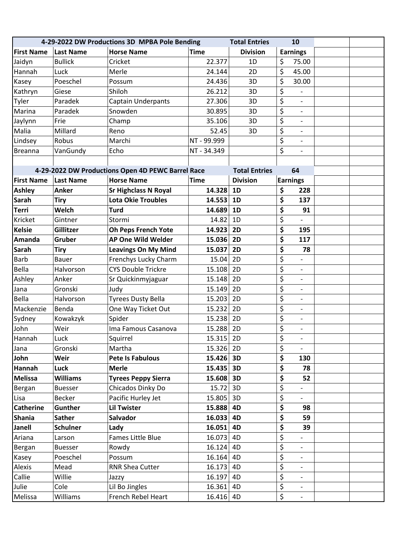| 4-29-2022 DW Productions 3D MPBA Pole Bending |                  |                                                   |             | <b>Total Entries</b> | 10                                                              |  |
|-----------------------------------------------|------------------|---------------------------------------------------|-------------|----------------------|-----------------------------------------------------------------|--|
| <b>First Name</b>                             | <b>Last Name</b> | <b>Horse Name</b>                                 | <b>Time</b> | <b>Division</b>      | <b>Earnings</b>                                                 |  |
| Jaidyn                                        | <b>Bullick</b>   | Cricket                                           | 22.377      | 1D                   | \$<br>75.00                                                     |  |
| Hannah                                        | Luck             | Merle                                             | 24.144      | 2D                   | \$<br>45.00                                                     |  |
| Kasey                                         | Poeschel         | Possum                                            | 24.436      | 3D                   | \$<br>30.00                                                     |  |
| Kathryn                                       | Giese            | Shiloh                                            | 26.212      | 3D                   | \$<br>$\frac{1}{2}$                                             |  |
| Tyler                                         | Paradek          | Captain Underpants                                | 27.306      | 3D                   | \$<br>$\overline{\phantom{a}}$                                  |  |
| Marina                                        | Paradek          | Snowden                                           | 30.895      | 3D                   | \$<br>$\overline{\phantom{a}}$                                  |  |
| Jaylynn                                       | Frie             | Champ                                             | 35.106      | 3D                   | \$<br>$\overline{\phantom{a}}$                                  |  |
| Malia                                         | Millard          | Reno                                              | 52.45       | 3D                   | $\overline{\xi}$<br>$\overline{\phantom{a}}$                    |  |
| Lindsey                                       | Robus            | Marchi                                            | NT - 99.999 |                      | $\overline{\xi}$<br>$\overline{\phantom{a}}$                    |  |
| <b>Breanna</b>                                | VanGundy         | Echo                                              | NT - 34.349 |                      | \$<br>$\overline{\phantom{a}}$                                  |  |
|                                               |                  |                                                   |             |                      |                                                                 |  |
|                                               |                  | 4-29-2022 DW Productions Open 4D PEWC Barrel Race |             | <b>Total Entries</b> | 64                                                              |  |
| <b>First Name</b>                             | <b>Last Name</b> | <b>Horse Name</b>                                 | <b>Time</b> | <b>Division</b>      | <b>Earnings</b>                                                 |  |
| <b>Ashley</b>                                 | Anker            | <b>Sr Highclass N Royal</b>                       | 14.328      | 1D                   | \$<br>228                                                       |  |
| <b>Sarah</b>                                  | <b>Tiry</b>      | <b>Lota Okie Troubles</b>                         | 14.553      | 1D                   | \$<br>137                                                       |  |
| <b>Terri</b>                                  | Welch            | <b>Turd</b>                                       | 14.689      | 1D                   | \$<br>91                                                        |  |
| Kricket                                       | Gintner          | Stormi                                            | 14.82       | 1D                   | \$                                                              |  |
| <b>Kelsie</b>                                 | Gillitzer        | <b>Oh Peps French Yote</b>                        | 14.923      | 2D                   | \$<br>195                                                       |  |
| Amanda                                        | Gruber           | <b>AP One Wild Welder</b>                         | 15.036      | 2D                   | \$<br>117                                                       |  |
| <b>Sarah</b>                                  | <b>Tiry</b>      | <b>Leavings On My Mind</b>                        | 15.037      | 2D                   | \$<br>78                                                        |  |
| <b>Barb</b>                                   | <b>Bauer</b>     | Frenchys Lucky Charm                              | 15.04       | 2D                   | \$<br>$\overline{a}$                                            |  |
| Bella                                         | Halvorson        | <b>CYS Double Trickre</b>                         | 15.108      | 2D                   | $\overline{\mathsf{S}}$<br>$\qquad \qquad \blacksquare$         |  |
| Ashley                                        | Anker            | Sr Quickinmyjaguar                                | 15.148      | 2D                   | $\overline{\boldsymbol{\varsigma}}$<br>$\overline{\phantom{a}}$ |  |
| Jana                                          | Gronski          | Judy                                              | 15.149      | 2D                   | \$<br>$\overline{\phantom{a}}$                                  |  |
| Bella                                         | Halvorson        | <b>Tyrees Dusty Bella</b>                         | 15.203      | 2D                   | \$<br>$\overline{\phantom{a}}$                                  |  |
| Mackenzie                                     | Benda            | One Way Ticket Out                                | 15.232      | 2D                   | \$<br>$\overline{\phantom{0}}$                                  |  |
| Sydney                                        | Kowakzyk         | Spider                                            | 15.238      | 2D                   | \$<br>$\qquad \qquad \blacksquare$                              |  |
| John                                          | Weir             | Ima Famous Casanova                               | 15.288      | 2D                   | $\overline{\mathsf{S}}$<br>$\overline{\phantom{a}}$             |  |
| Hannah                                        | Luck             | Squirrel                                          | 15.315      | 2D                   | \$<br>$\overline{\phantom{a}}$                                  |  |
| Jana                                          | Gronski          | Martha                                            | 15.326 2D   |                      | \$<br>$\overline{\phantom{a}}$                                  |  |
| John                                          | Weir             | <b>Pete Is Fabulous</b>                           | 15.426 3D   |                      | \$<br>130                                                       |  |
| <b>Hannah</b>                                 | Luck             | <b>Merle</b>                                      | 15.435 3D   |                      | \$<br>78                                                        |  |
| Melissa                                       | <b>Williams</b>  | <b>Tyrees Peppy Sierra</b>                        | 15.608      | 3D                   | \$<br>52                                                        |  |
| Bergan                                        | <b>Buesser</b>   | Chicados Dinky Do                                 | 15.72       | 3D                   | \$                                                              |  |
| Lisa                                          | Becker           | Pacific Hurley Jet                                | 15.805      | 3D                   | \$<br>$\overline{\phantom{0}}$                                  |  |
| <b>Catherine</b>                              | <b>Gunther</b>   | <b>Lil Twister</b>                                | 15.888 4D   |                      | \$<br>98                                                        |  |
| <b>Shania</b>                                 | <b>Sather</b>    | <b>Salvador</b>                                   | 16.033      | 4D                   | \$<br>59                                                        |  |
| Janell                                        | <b>Schulner</b>  | Lady                                              | 16.051      | <b>4D</b>            | \$<br>39                                                        |  |
| Ariana                                        | Larson           | Fames Little Blue                                 | 16.073      | 4D                   | \$<br>$\overline{a}$                                            |  |
| Bergan                                        | <b>Buesser</b>   | Rowdy                                             | 16.124      | 4D                   | $\overline{\boldsymbol{\zeta}}$<br>$\overline{\phantom{a}}$     |  |
| Kasey                                         | Poeschel         | Possum                                            | $16.164$ 4D |                      | $\overline{\xi}$<br>$\overline{\phantom{a}}$                    |  |
| Alexis                                        | Mead             | RNR Shea Cutter                                   | 16.173      | 4D                   | \$<br>$\overline{\phantom{a}}$                                  |  |
| Callie                                        | Willie           | Jazzy                                             | 16.197      | 4D                   | \$<br>$\overline{\phantom{a}}$                                  |  |
| Julie                                         | Cole             | Lil Bo Jingles                                    | 16.361      | 4D                   | \$<br>$\overline{\phantom{a}}$                                  |  |
| Melissa                                       | Williams         | French Rebel Heart                                | 16.416      | 4D                   | $\overline{\boldsymbol{\zeta}}$<br>$\blacksquare$               |  |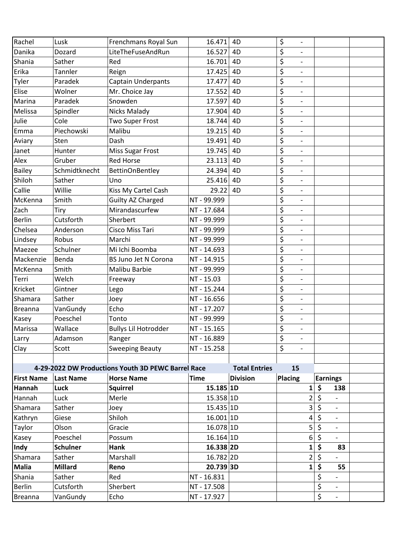| Rachel            | Lusk             | Frenchmans Royal Sun                               | 16.471      | 4 <sub>D</sub>       | \$<br>$\overline{\phantom{a}}$                              |                                |  |
|-------------------|------------------|----------------------------------------------------|-------------|----------------------|-------------------------------------------------------------|--------------------------------|--|
| Danika            | Dozard           | LiteTheFuseAndRun                                  | 16.527      | 4 <sub>D</sub>       | \$<br>$\overline{\phantom{a}}$                              |                                |  |
| Shania            | Sather           | Red                                                | 16.701      | 4D                   | \$<br>$\overline{\phantom{a}}$                              |                                |  |
| Erika             | Tannler          | Reign                                              | 17.425      | 4 <sub>D</sub>       | \$<br>$\overline{\phantom{a}}$                              |                                |  |
| Tyler             | Paradek          | <b>Captain Underpants</b>                          | 17.477      | 4D                   | $\overline{\boldsymbol{\zeta}}$<br>$\overline{\phantom{a}}$ |                                |  |
| Elise             | Wolner           | Mr. Choice Jay                                     | 17.552      | 4 <sub>D</sub>       | \$<br>$\overline{\phantom{a}}$                              |                                |  |
| Marina            | Paradek          | Snowden                                            | 17.597      | 4D                   | \$<br>$\overline{\phantom{a}}$                              |                                |  |
| Melissa           | Spindler         | <b>Nicks Malady</b>                                | 17.904      | 4D                   | $\overline{\boldsymbol{\zeta}}$<br>$\overline{\phantom{a}}$ |                                |  |
| Julie             | Cole             | Two Super Frost                                    | 18.744      | 4D                   | \$<br>$\overline{a}$                                        |                                |  |
| Emma              | Piechowski       | Malibu                                             | 19.215      | 4D                   | \$<br>$\overline{\phantom{a}}$                              |                                |  |
| Aviary            | Sten             | Dash                                               | 19.491      | 4D                   | \$<br>$\overline{\phantom{a}}$                              |                                |  |
| Janet             | Hunter           | Miss Sugar Frost                                   | 19.745      | 4 <sub>D</sub>       | \$<br>$\overline{\phantom{a}}$                              |                                |  |
| Alex              | Gruber           | <b>Red Horse</b>                                   | 23.113      | 4D                   | $\overline{\xi}$<br>$\overline{a}$                          |                                |  |
| <b>Bailey</b>     | Schmidtknecht    | <b>BettinOnBentley</b>                             | 24.394      | 4D                   | $\overline{\boldsymbol{\zeta}}$<br>$\overline{\phantom{a}}$ |                                |  |
| Shiloh            | Sather           | Uno                                                | 25.416      | 4D                   | \$<br>$\overline{\phantom{a}}$                              |                                |  |
| Callie            | Willie           | Kiss My Cartel Cash                                | 29.22       | 4D                   | \$<br>$\overline{\phantom{a}}$                              |                                |  |
| McKenna           | Smith            | <b>Guilty AZ Charged</b>                           | NT - 99.999 |                      | \$<br>$\overline{\phantom{a}}$                              |                                |  |
| Zach              | Tiry             | Mirandascurfew                                     | NT - 17.684 |                      | \$<br>$\overline{\phantom{a}}$                              |                                |  |
| <b>Berlin</b>     | Cutsforth        | Sherbert                                           | NT - 99.999 |                      | \$<br>$\qquad \qquad -$                                     |                                |  |
| Chelsea           | Anderson         | Cisco Miss Tari                                    | NT - 99.999 |                      | \$<br>$\overline{\phantom{a}}$                              |                                |  |
| Lindsey           | Robus            | Marchi                                             | NT - 99.999 |                      | \$<br>$\overline{\phantom{a}}$                              |                                |  |
| Maezee            | Schulner         | Mi Ichi Boomba                                     | NT - 14.693 |                      | \$<br>$\overline{\phantom{a}}$                              |                                |  |
| Mackenzie         | Benda            | BS Juno Jet N Corona                               | NT - 14.915 |                      | \$<br>$\overline{\phantom{a}}$                              |                                |  |
| McKenna           | Smith            | Malibu Barbie                                      | NT - 99.999 |                      | \$<br>$\overline{\phantom{a}}$                              |                                |  |
| Terri             | Welch            | Freeway                                            | NT - 15.03  |                      | \$<br>$\overline{\phantom{a}}$                              |                                |  |
| Kricket           | Gintner          | Lego                                               | NT - 15.244 |                      | \$<br>$\qquad \qquad \blacksquare$                          |                                |  |
| Shamara           | Sather           | Joey                                               | NT - 16.656 |                      | $\overline{\boldsymbol{\zeta}}$<br>$\overline{\phantom{a}}$ |                                |  |
| <b>Breanna</b>    | VanGundy         | Echo                                               | NT - 17.207 |                      | \$<br>$\overline{a}$                                        |                                |  |
| Kasey             | Poeschel         | Tonto                                              | NT - 99.999 |                      | \$<br>$\overline{\phantom{a}}$                              |                                |  |
| Marissa           | Wallace          | <b>Bullys Lil Hotrodder</b>                        | NT - 15.165 |                      | \$<br>$\overline{\phantom{a}}$                              |                                |  |
| Larry             | Adamson          | Ranger                                             | NT - 16.889 |                      | \$<br>$\overline{a}$                                        |                                |  |
| Clay              | Scott            | <b>Sweeping Beauty</b>                             | NT - 15.258 |                      | \$                                                          |                                |  |
|                   |                  |                                                    |             |                      |                                                             |                                |  |
|                   |                  | 4-29-2022 DW Productions Youth 3D PEWC Barrel Race |             | <b>Total Entries</b> | 15                                                          |                                |  |
| <b>First Name</b> | <b>Last Name</b> | <b>Horse Name</b>                                  | <b>Time</b> | <b>Division</b>      | <b>Placing</b>                                              | <b>Earnings</b>                |  |
| <b>Hannah</b>     | Luck             | <b>Squirrel</b>                                    | 15.185 1D   |                      | 1                                                           | \$<br>138                      |  |
| Hannah            | Luck             | Merle                                              | 15.358 1D   |                      | $\overline{2}$                                              | \$<br>$\overline{\phantom{a}}$ |  |
| Shamara           | Sather           | Joey                                               | 15.435 1D   |                      | 3                                                           | \$<br>$\overline{\phantom{a}}$ |  |
| Kathryn           | Giese            | Shiloh                                             | 16.001 1D   |                      | 4                                                           | \$<br>$\overline{\phantom{a}}$ |  |
| Taylor            | Olson            | Gracie                                             | 16.078 1D   |                      | 5                                                           | \$                             |  |
| Kasey             | Poeschel         | Possum                                             | 16.164 1D   |                      | 6                                                           | \$<br>$\overline{\phantom{a}}$ |  |
| <b>Indy</b>       | <b>Schulner</b>  | Hank                                               | 16.338 2D   |                      | 1                                                           | \$<br>83                       |  |
| Shamara           | Sather           | Marshall                                           | 16.782 2D   |                      | $\overline{2}$                                              | \$                             |  |
| <b>Malia</b>      | <b>Millard</b>   | Reno                                               | 20.739 3D   |                      | 1                                                           | \$<br>55                       |  |
| Shania            | Sather           | Red                                                | NT-16.831   |                      |                                                             | \$                             |  |
| <b>Berlin</b>     | Cutsforth        | Sherbert                                           | NT - 17.508 |                      |                                                             | \$<br>$\overline{\phantom{a}}$ |  |
| <b>Breanna</b>    | VanGundy         | Echo                                               | NT - 17.927 |                      |                                                             | \$<br>$\overline{\phantom{a}}$ |  |